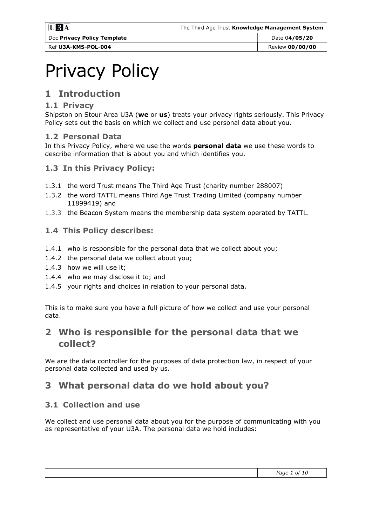Ref U3A-KMS-POL-004 **Ref U3A-KMS-POL-004** Review 00/00/00

# Privacy Policy

# 1 Introduction

#### 1.1 Privacy

Shipston on Stour Area U3A (we or us) treats your privacy rights seriously. This Privacy Policy sets out the basis on which we collect and use personal data about you.

## 1.2 Personal Data

In this Privacy Policy, where we use the words **personal data** we use these words to describe information that is about you and which identifies you.

## 1.3 In this Privacy Policy:

- 1.3.1 the word Trust means The Third Age Trust (charity number 288007)
- 1.3.2 the word TATTL means Third Age Trust Trading Limited (company number 11899419) and
- 1.3.3 the Beacon System means the membership data system operated by TATTL.

#### 1.4 This Policy describes:

- 1.4.1 who is responsible for the personal data that we collect about you;
- 1.4.2 the personal data we collect about you;
- 1.4.3 how we will use it;
- 1.4.4 who we may disclose it to; and
- 1.4.5 your rights and choices in relation to your personal data.

This is to make sure you have a full picture of how we collect and use your personal data.

## 2 Who is responsible for the personal data that we collect?

We are the data controller for the purposes of data protection law, in respect of your personal data collected and used by us.

## 3 What personal data do we hold about you?

## 3.1 Collection and use

We collect and use personal data about you for the purpose of communicating with you as representative of your U3A. The personal data we hold includes: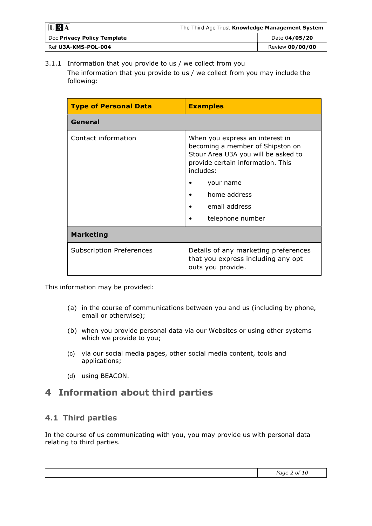| $\overline{U}$ 3 <sup>A</sup> | The Third Age Trust Knowledge Management System |  |
|-------------------------------|-------------------------------------------------|--|
| Doc Privacy Policy Template   | Date 04/05/20                                   |  |
| Ref U3A-KMS-POL-004           | Review 00/00/00                                 |  |

3.1.1 Information that you provide to us / we collect from you The information that you provide to us / we collect from you may include the following:

| <b>Type of Personal Data</b>    | <b>Examples</b>                                                                                                                                              |
|---------------------------------|--------------------------------------------------------------------------------------------------------------------------------------------------------------|
| General                         |                                                                                                                                                              |
| Contact information             | When you express an interest in<br>becoming a member of Shipston on<br>Stour Area U3A you will be asked to<br>provide certain information. This<br>includes: |
|                                 | your name                                                                                                                                                    |
|                                 | home address                                                                                                                                                 |
|                                 | email address<br>٠                                                                                                                                           |
|                                 | telephone number                                                                                                                                             |
| <b>Marketing</b>                |                                                                                                                                                              |
| <b>Subscription Preferences</b> | Details of any marketing preferences<br>that you express including any opt<br>outs you provide.                                                              |

This information may be provided:

- (a) in the course of communications between you and us (including by phone, email or otherwise);
- (b) when you provide personal data via our Websites or using other systems which we provide to you;
- (c) via our social media pages, other social media content, tools and applications;
- (d) using BEACON.

## 4 Information about third parties

## 4.1 Third parties

In the course of us communicating with you, you may provide us with personal data relating to third parties.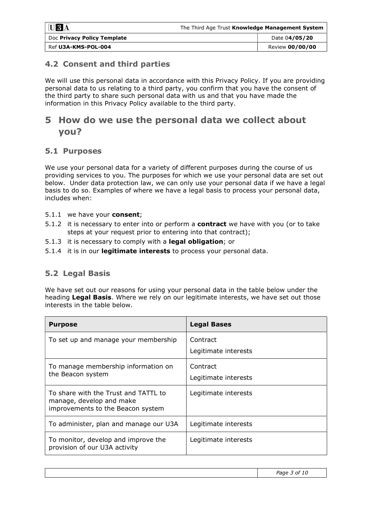| $\bf U3A$                   | The Third Age Trust Knowledge Management System |                 |
|-----------------------------|-------------------------------------------------|-----------------|
| Doc Privacy Policy Template |                                                 | Date 04/05/20   |
| Ref U3A-KMS-POL-004         |                                                 | Review 00/00/00 |

#### 4.2 Consent and third parties

We will use this personal data in accordance with this Privacy Policy. If you are providing personal data to us relating to a third party, you confirm that you have the consent of the third party to share such personal data with us and that you have made the information in this Privacy Policy available to the third party.

## 5 How do we use the personal data we collect about you?

#### 5.1 Purposes

We use your personal data for a variety of different purposes during the course of us providing services to you. The purposes for which we use your personal data are set out below. Under data protection law, we can only use your personal data if we have a legal basis to do so. Examples of where we have a legal basis to process your personal data, includes when:

- 5.1.1 we have your consent;
- 5.1.2 it is necessary to enter into or perform a contract we have with you (or to take steps at your request prior to entering into that contract);
- 5.1.3 it is necessary to comply with a **legal obligation**; or
- 5.1.4 it is in our **legitimate interests** to process your personal data.

## 5.2 Legal Basis

We have set out our reasons for using your personal data in the table below under the heading Legal Basis. Where we rely on our legitimate interests, we have set out those interests in the table below.

| <b>Purpose</b>                                                                                        | <b>Legal Bases</b>               |
|-------------------------------------------------------------------------------------------------------|----------------------------------|
| To set up and manage your membership                                                                  | Contract<br>Legitimate interests |
| To manage membership information on<br>the Beacon system                                              | Contract<br>Legitimate interests |
| To share with the Trust and TATTL to<br>manage, develop and make<br>improvements to the Beacon system | Legitimate interests             |
| To administer, plan and manage our U3A                                                                | Legitimate interests             |
| To monitor, develop and improve the<br>provision of our U3A activity                                  | Legitimate interests             |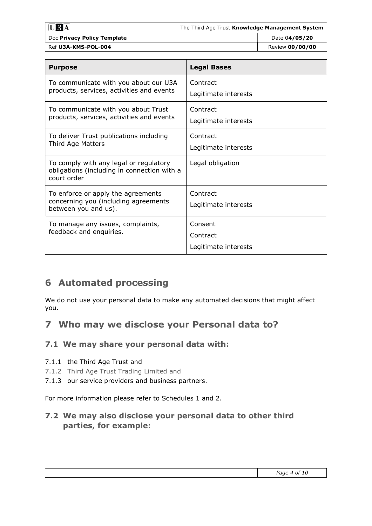|--|

| Doc Privacy Policy Template | Date 04/05/20  |
|-----------------------------|----------------|
| Ref U3A-KMS-POL-004         | Review 00/00/0 |

| <b>Purpose</b>                                                                                       | <b>Legal Bases</b>                          |
|------------------------------------------------------------------------------------------------------|---------------------------------------------|
| To communicate with you about our U3A<br>products, services, activities and events                   | Contract<br>Legitimate interests            |
| To communicate with you about Trust<br>products, services, activities and events                     | Contract<br>Legitimate interests            |
| To deliver Trust publications including<br>Third Age Matters                                         | Contract<br>Legitimate interests            |
| To comply with any legal or regulatory<br>obligations (including in connection with a<br>court order | Legal obligation                            |
| To enforce or apply the agreements<br>concerning you (including agreements<br>between you and us).   | Contract<br>Legitimate interests            |
| To manage any issues, complaints,<br>feedback and enquiries.                                         | Consent<br>Contract<br>Legitimate interests |

# 6 Automated processing

We do not use your personal data to make any automated decisions that might affect you.

## 7 Who may we disclose your Personal data to?

## 7.1 We may share your personal data with:

#### 7.1.1 the Third Age Trust and

- 7.1.2 Third Age Trust Trading Limited and
- 7.1.3 our service providers and business partners.

For more information please refer to Schedules 1 and 2.

## 7.2 We may also disclose your personal data to other third parties, for example: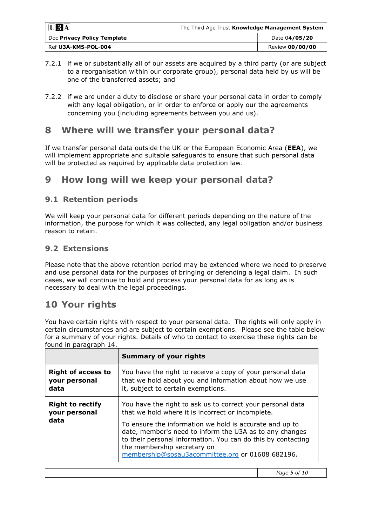| $\blacksquare$ $\blacksquare$ $\mathbf{3}$ $\overline{\mathbf{A}}$ | The Third Age Trust Knowledge Management System |                 |
|--------------------------------------------------------------------|-------------------------------------------------|-----------------|
| Doc Privacy Policy Template                                        |                                                 | Date 04/05/20   |
| Ref U3A-KMS-POL-004                                                |                                                 | Review 00/00/00 |

- 7.2.1 if we or substantially all of our assets are acquired by a third party (or are subject to a reorganisation within our corporate group), personal data held by us will be one of the transferred assets; and
- 7.2.2 if we are under a duty to disclose or share your personal data in order to comply with any legal obligation, or in order to enforce or apply our the agreements concerning you (including agreements between you and us).

## 8 Where will we transfer your personal data?

If we transfer personal data outside the UK or the European Economic Area (EEA), we will implement appropriate and suitable safeguards to ensure that such personal data will be protected as required by applicable data protection law.

## 9 How long will we keep your personal data?

#### 9.1 Retention periods

We will keep your personal data for different periods depending on the nature of the information, the purpose for which it was collected, any legal obligation and/or business reason to retain.

#### 9.2 Extensions

Please note that the above retention period may be extended where we need to preserve and use personal data for the purposes of bringing or defending a legal claim. In such cases, we will continue to hold and process your personal data for as long as is necessary to deal with the legal proceedings.

## 10 Your rights

You have certain rights with respect to your personal data. The rights will only apply in certain circumstances and are subject to certain exemptions. Please see the table below for a summary of your rights. Details of who to contact to exercise these rights can be found in paragraph 14.

|                           | <b>Summary of your rights</b>                                                                                                                                                                                                                                         |
|---------------------------|-----------------------------------------------------------------------------------------------------------------------------------------------------------------------------------------------------------------------------------------------------------------------|
| <b>Right of access to</b> | You have the right to receive a copy of your personal data                                                                                                                                                                                                            |
| your personal             | that we hold about you and information about how we use                                                                                                                                                                                                               |
| data                      | it, subject to certain exemptions.                                                                                                                                                                                                                                    |
| <b>Right to rectify</b>   | You have the right to ask us to correct your personal data                                                                                                                                                                                                            |
| your personal             | that we hold where it is incorrect or incomplete.                                                                                                                                                                                                                     |
| data                      | To ensure the information we hold is accurate and up to<br>date, member's need to inform the U3A as to any changes<br>to their personal information. You can do this by contacting<br>the membership secretary on<br>membership@sosau3acommittee.org or 01608 682196. |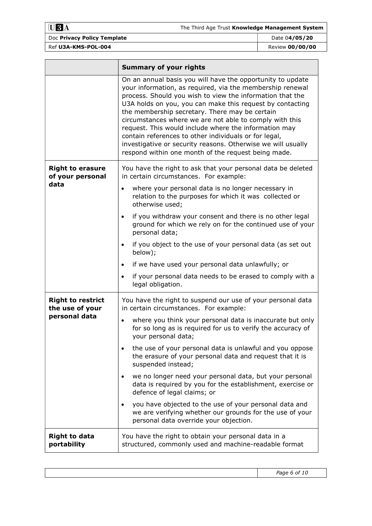$U3A$ 

# Doc Privacy Policy Template Date 04/05/20

|                                             | <b>Summary of your rights</b>                                                                                                                                                                                                                                                                                                                                                                                                                                                                                                                                                                           |
|---------------------------------------------|---------------------------------------------------------------------------------------------------------------------------------------------------------------------------------------------------------------------------------------------------------------------------------------------------------------------------------------------------------------------------------------------------------------------------------------------------------------------------------------------------------------------------------------------------------------------------------------------------------|
|                                             | On an annual basis you will have the opportunity to update<br>your information, as required, via the membership renewal<br>process. Should you wish to view the information that the<br>U3A holds on you, you can make this request by contacting<br>the membership secretary. There may be certain<br>circumstances where we are not able to comply with this<br>request. This would include where the information may<br>contain references to other individuals or for legal,<br>investigative or security reasons. Otherwise we will usually<br>respond within one month of the request being made. |
| <b>Right to erasure</b><br>of your personal | You have the right to ask that your personal data be deleted<br>in certain circumstances. For example:                                                                                                                                                                                                                                                                                                                                                                                                                                                                                                  |
| data                                        | where your personal data is no longer necessary in<br>$\bullet$<br>relation to the purposes for which it was collected or<br>otherwise used;                                                                                                                                                                                                                                                                                                                                                                                                                                                            |
|                                             | if you withdraw your consent and there is no other legal<br>$\bullet$<br>ground for which we rely on for the continued use of your<br>personal data;                                                                                                                                                                                                                                                                                                                                                                                                                                                    |
|                                             | if you object to the use of your personal data (as set out<br>$\bullet$<br>below);                                                                                                                                                                                                                                                                                                                                                                                                                                                                                                                      |
|                                             | if we have used your personal data unlawfully; or<br>$\bullet$                                                                                                                                                                                                                                                                                                                                                                                                                                                                                                                                          |
|                                             | if your personal data needs to be erased to comply with a<br>$\bullet$<br>legal obligation.                                                                                                                                                                                                                                                                                                                                                                                                                                                                                                             |
| <b>Right to restrict</b><br>the use of your | You have the right to suspend our use of your personal data<br>in certain circumstances. For example:                                                                                                                                                                                                                                                                                                                                                                                                                                                                                                   |
| personal data                               | where you think your personal data is inaccurate but only<br>$\bullet$<br>for so long as is required for us to verify the accuracy of<br>your personal data;                                                                                                                                                                                                                                                                                                                                                                                                                                            |
|                                             | the use of your personal data is unlawful and you oppose<br>the erasure of your personal data and request that it is<br>suspended instead;                                                                                                                                                                                                                                                                                                                                                                                                                                                              |
|                                             | we no longer need your personal data, but your personal<br>$\bullet$<br>data is required by you for the establishment, exercise or<br>defence of legal claims; or                                                                                                                                                                                                                                                                                                                                                                                                                                       |
|                                             | you have objected to the use of your personal data and<br>we are verifying whether our grounds for the use of your<br>personal data override your objection.                                                                                                                                                                                                                                                                                                                                                                                                                                            |
| <b>Right to data</b><br>portability         | You have the right to obtain your personal data in a<br>structured, commonly used and machine-readable format                                                                                                                                                                                                                                                                                                                                                                                                                                                                                           |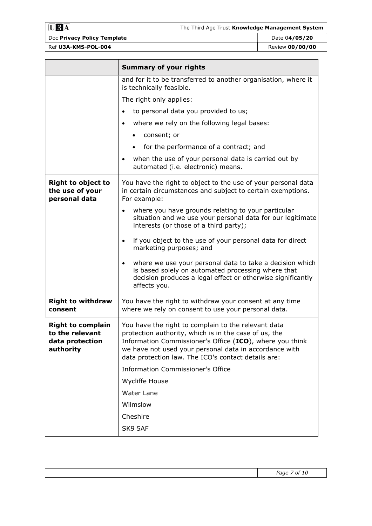$$ 

| Doc Privacy Policy Template |
|-----------------------------|
| Ref U3A-KMS-POL-004         |

|                                                                             | <b>Summary of your rights</b>                                                                                                                                                                                                                                                             |  |
|-----------------------------------------------------------------------------|-------------------------------------------------------------------------------------------------------------------------------------------------------------------------------------------------------------------------------------------------------------------------------------------|--|
|                                                                             | and for it to be transferred to another organisation, where it<br>is technically feasible.                                                                                                                                                                                                |  |
|                                                                             | The right only applies:                                                                                                                                                                                                                                                                   |  |
|                                                                             | to personal data you provided to us;                                                                                                                                                                                                                                                      |  |
|                                                                             | where we rely on the following legal bases:<br>$\bullet$                                                                                                                                                                                                                                  |  |
|                                                                             | consent; or                                                                                                                                                                                                                                                                               |  |
|                                                                             | for the performance of a contract; and                                                                                                                                                                                                                                                    |  |
|                                                                             | when the use of your personal data is carried out by<br>$\bullet$<br>automated (i.e. electronic) means.                                                                                                                                                                                   |  |
| <b>Right to object to</b><br>the use of your<br>personal data               | You have the right to object to the use of your personal data<br>in certain circumstances and subject to certain exemptions.<br>For example:                                                                                                                                              |  |
|                                                                             | where you have grounds relating to your particular<br>$\bullet$<br>situation and we use your personal data for our legitimate<br>interests (or those of a third party);                                                                                                                   |  |
|                                                                             | if you object to the use of your personal data for direct<br>$\bullet$<br>marketing purposes; and                                                                                                                                                                                         |  |
|                                                                             | where we use your personal data to take a decision which<br>$\bullet$<br>is based solely on automated processing where that<br>decision produces a legal effect or otherwise significantly<br>affects you.                                                                                |  |
| <b>Right to withdraw</b><br>consent                                         | You have the right to withdraw your consent at any time<br>where we rely on consent to use your personal data.                                                                                                                                                                            |  |
| <b>Right to complain</b><br>to the relevant<br>data protection<br>authority | You have the right to complain to the relevant data<br>protection authority, which is in the case of us, the<br>Information Commissioner's Office (ICO), where you think<br>we have not used your personal data in accordance with<br>data protection law. The ICO's contact details are: |  |
|                                                                             | <b>Information Commissioner's Office</b>                                                                                                                                                                                                                                                  |  |
|                                                                             | <b>Wycliffe House</b>                                                                                                                                                                                                                                                                     |  |
|                                                                             | Water Lane                                                                                                                                                                                                                                                                                |  |
|                                                                             | Wilmslow                                                                                                                                                                                                                                                                                  |  |
|                                                                             | Cheshire                                                                                                                                                                                                                                                                                  |  |
|                                                                             | SK9 5AF                                                                                                                                                                                                                                                                                   |  |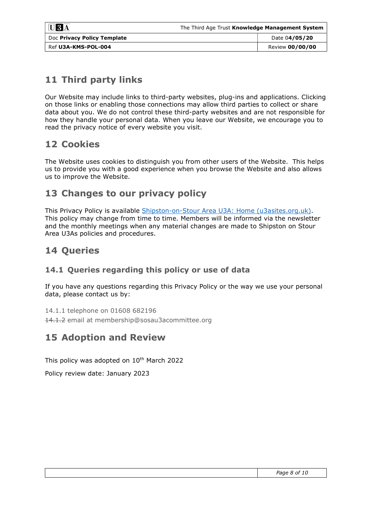| $\overline{U}3\overline{A}$ | The Third Age Trust Knowledge Management System |                 |
|-----------------------------|-------------------------------------------------|-----------------|
| Doc Privacy Policy Template |                                                 | Date 04/05/20   |
| Ref U3A-KMS-POL-004         |                                                 | Review 00/00/00 |

# 11 Third party links

Our Website may include links to third-party websites, plug-ins and applications. Clicking on those links or enabling those connections may allow third parties to collect or share data about you. We do not control these third-party websites and are not responsible for how they handle your personal data. When you leave our Website, we encourage you to read the privacy notice of every website you visit.

## 12 Cookies

The Website uses cookies to distinguish you from other users of the Website. This helps us to provide you with a good experience when you browse the Website and also allows us to improve the Website.

## 13 Changes to our privacy policy

This Privacy Policy is available Shipston-on-Stour Area U3A: Home (u3asites.org.uk). This policy may change from time to time. Members will be informed via the newsletter and the monthly meetings when any material changes are made to Shipston on Stour Area U3As policies and procedures.

## 14 Queries

#### 14.1 Queries regarding this policy or use of data

If you have any questions regarding this Privacy Policy or the way we use your personal data, please contact us by:

14.1.1 telephone on 01608 682196

14.1.2 email at membership@sosau3acommittee.org

## 15 Adoption and Review

This policy was adopted on 10<sup>th</sup> March 2022

Policy review date: January 2023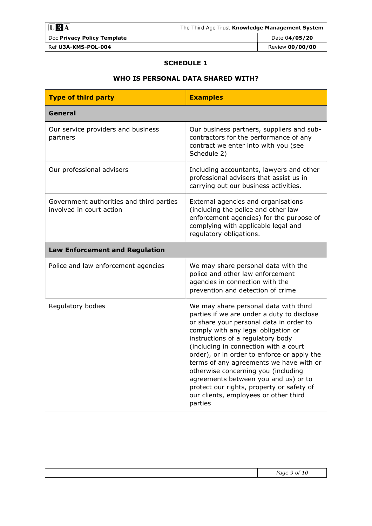| $UBA$                       | The Third Age Trust Knowledge Management System |                 |
|-----------------------------|-------------------------------------------------|-----------------|
| Doc Privacy Policy Template |                                                 | Date 04/05/20   |
| Ref U3A-KMS-POL-004         |                                                 | Review 00/00/00 |

#### SCHEDULE 1

#### WHO IS PERSONAL DATA SHARED WITH?

| <b>Type of third party</b>                                           | <b>Examples</b>                                                                                                                                                                                                                                                                                                                                                                                                                                                                                                               |  |  |
|----------------------------------------------------------------------|-------------------------------------------------------------------------------------------------------------------------------------------------------------------------------------------------------------------------------------------------------------------------------------------------------------------------------------------------------------------------------------------------------------------------------------------------------------------------------------------------------------------------------|--|--|
| General                                                              |                                                                                                                                                                                                                                                                                                                                                                                                                                                                                                                               |  |  |
| Our service providers and business<br>partners                       | Our business partners, suppliers and sub-<br>contractors for the performance of any<br>contract we enter into with you (see<br>Schedule 2)                                                                                                                                                                                                                                                                                                                                                                                    |  |  |
| Our professional advisers                                            | Including accountants, lawyers and other<br>professional advisers that assist us in<br>carrying out our business activities.                                                                                                                                                                                                                                                                                                                                                                                                  |  |  |
| Government authorities and third parties<br>involved in court action | External agencies and organisations<br>(including the police and other law<br>enforcement agencies) for the purpose of<br>complying with applicable legal and<br>regulatory obligations.                                                                                                                                                                                                                                                                                                                                      |  |  |
| <b>Law Enforcement and Regulation</b>                                |                                                                                                                                                                                                                                                                                                                                                                                                                                                                                                                               |  |  |
| Police and law enforcement agencies                                  | We may share personal data with the<br>police and other law enforcement<br>agencies in connection with the<br>prevention and detection of crime                                                                                                                                                                                                                                                                                                                                                                               |  |  |
| Regulatory bodies                                                    | We may share personal data with third<br>parties if we are under a duty to disclose<br>or share your personal data in order to<br>comply with any legal obligation or<br>instructions of a regulatory body<br>(including in connection with a court<br>order), or in order to enforce or apply the<br>terms of any agreements we have with or<br>otherwise concerning you (including<br>agreements between you and us) or to<br>protect our rights, property or safety of<br>our clients, employees or other third<br>parties |  |  |

Page 9 of 10